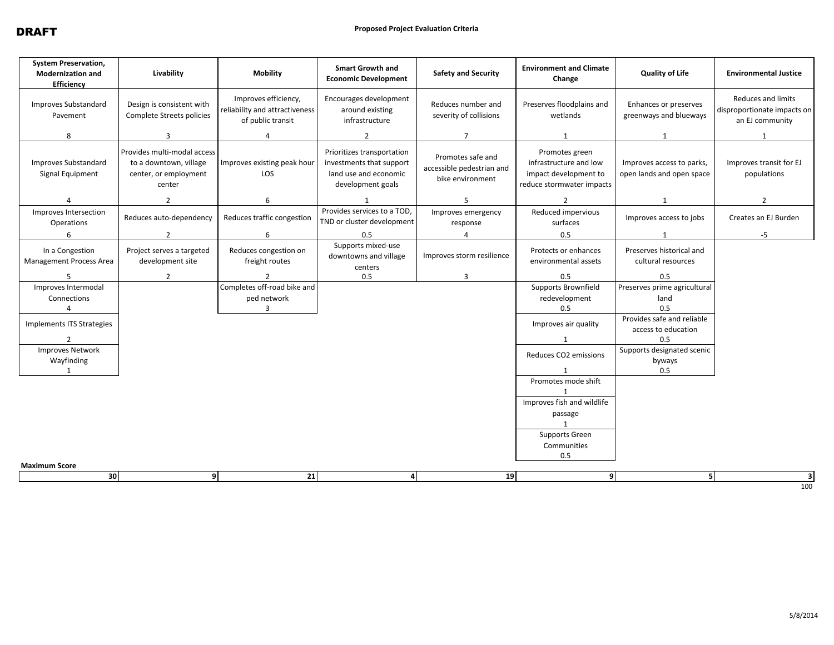| <b>System Preservation,</b><br><b>Modernization and</b><br>Efficiency | Livability                                                                               | <b>Mobility</b>                                                             | <b>Smart Growth and</b><br><b>Economic Development</b>                                               | <b>Safety and Security</b>                                         | <b>Environment and Climate</b><br>Change                                                       | Quality of Life                                        | <b>Environmental Justice</b>                                         |
|-----------------------------------------------------------------------|------------------------------------------------------------------------------------------|-----------------------------------------------------------------------------|------------------------------------------------------------------------------------------------------|--------------------------------------------------------------------|------------------------------------------------------------------------------------------------|--------------------------------------------------------|----------------------------------------------------------------------|
| <b>Improves Substandard</b><br>Pavement                               | Design is consistent with<br>Complete Streets policies                                   | Improves efficiency,<br>reliability and attractiveness<br>of public transit | Encourages development<br>around existing<br>infrastructure                                          | Reduces number and<br>severity of collisions                       | Preserves floodplains and<br>wetlands                                                          | Enhances or preserves<br>greenways and blueways        | Reduces and limits<br>disproportionate impacts on<br>an EJ community |
| 8                                                                     | 3                                                                                        | 4                                                                           | 2                                                                                                    | $\overline{7}$                                                     | 1                                                                                              | $\mathbf{1}$                                           | 1                                                                    |
| Improves Substandard<br>Signal Equipment                              | Provides multi-modal access<br>to a downtown, village<br>center, or employment<br>center | Improves existing peak hour<br>LOS                                          | Prioritizes transportation<br>investments that support<br>land use and economic<br>development goals | Promotes safe and<br>accessible pedestrian and<br>bike environment | Promotes green<br>infrastructure and low<br>impact development to<br>reduce stormwater impacts | Improves access to parks,<br>open lands and open space | Improves transit for EJ<br>populations                               |
| $\overline{4}$                                                        | $\overline{2}$                                                                           | 6                                                                           | $\mathbf{1}$                                                                                         | 5                                                                  | $\overline{2}$                                                                                 | 1                                                      | $\overline{2}$                                                       |
| Improves Intersection<br>Operations                                   | Reduces auto-dependency                                                                  | Reduces traffic congestion                                                  | Provides services to a TOD,<br>TND or cluster development                                            | Improves emergency<br>response                                     | Reduced impervious<br>surfaces                                                                 | Improves access to jobs                                | Creates an EJ Burden                                                 |
| 6                                                                     | $\overline{2}$                                                                           | 6                                                                           | 0.5                                                                                                  | 4                                                                  | 0.5                                                                                            | 1                                                      | $-5$                                                                 |
| In a Congestion<br><b>Management Process Area</b>                     | Project serves a targeted<br>development site                                            | Reduces congestion on<br>freight routes                                     | Supports mixed-use<br>downtowns and village<br>centers                                               | Improves storm resilience                                          | Protects or enhances<br>environmental assets                                                   | Preserves historical and<br>cultural resources         |                                                                      |
| 5                                                                     | $\overline{2}$                                                                           |                                                                             | 0.5                                                                                                  | 3                                                                  | 0.5                                                                                            | 0.5                                                    |                                                                      |
| Improves Intermodal<br>Connections<br>Δ                               |                                                                                          | Completes off-road bike and<br>ped network<br>$\mathbf{a}$                  |                                                                                                      |                                                                    | Supports Brownfield<br>redevelopment<br>0.5                                                    | Preserves prime agricultural<br>land<br>0.5            |                                                                      |
| Implements ITS Strategies                                             |                                                                                          |                                                                             |                                                                                                      |                                                                    | Improves air quality                                                                           | Provides safe and reliable<br>access to education      |                                                                      |
| $\overline{2}$<br><b>Improves Network</b>                             |                                                                                          |                                                                             |                                                                                                      |                                                                    | $\mathbf{1}$                                                                                   | 0.5<br>Supports designated scenic                      |                                                                      |
| Wayfinding                                                            |                                                                                          |                                                                             |                                                                                                      |                                                                    | Reduces CO2 emissions                                                                          | byways                                                 |                                                                      |
| $\mathbf{1}$                                                          |                                                                                          |                                                                             |                                                                                                      |                                                                    | 1                                                                                              | 0.5                                                    |                                                                      |
|                                                                       |                                                                                          |                                                                             |                                                                                                      |                                                                    | Promotes mode shift                                                                            |                                                        |                                                                      |
|                                                                       |                                                                                          |                                                                             |                                                                                                      |                                                                    | $\mathbf{1}$                                                                                   |                                                        |                                                                      |
|                                                                       |                                                                                          |                                                                             |                                                                                                      |                                                                    | Improves fish and wildlife                                                                     |                                                        |                                                                      |
|                                                                       |                                                                                          |                                                                             |                                                                                                      |                                                                    | passage                                                                                        |                                                        |                                                                      |
|                                                                       |                                                                                          |                                                                             |                                                                                                      |                                                                    | Supports Green                                                                                 |                                                        |                                                                      |
|                                                                       |                                                                                          |                                                                             |                                                                                                      |                                                                    | Communities                                                                                    |                                                        |                                                                      |
|                                                                       |                                                                                          |                                                                             |                                                                                                      |                                                                    | 0.5                                                                                            |                                                        |                                                                      |
| <b>Maximum Score</b>                                                  |                                                                                          |                                                                             |                                                                                                      |                                                                    |                                                                                                |                                                        |                                                                      |
| 30                                                                    | 9                                                                                        | 21                                                                          | 4                                                                                                    | 19                                                                 | 9                                                                                              | 5 <sub>1</sub>                                         | -31<br>100                                                           |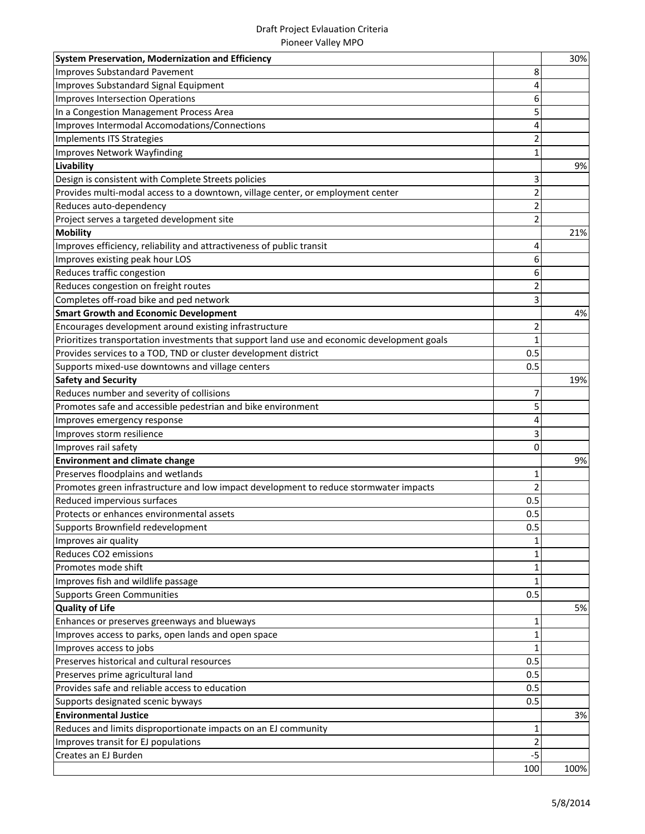#### Draft Project Evlauation Criteria Pioneer Valley MPO

| System Preservation, Modernization and Efficiency                                           |                | 30%  |
|---------------------------------------------------------------------------------------------|----------------|------|
| <b>Improves Substandard Pavement</b>                                                        | 8              |      |
| Improves Substandard Signal Equipment                                                       | 4              |      |
| Improves Intersection Operations                                                            | 6              |      |
| In a Congestion Management Process Area                                                     | 5              |      |
| Improves Intermodal Accomodations/Connections                                               | 4              |      |
| Implements ITS Strategies                                                                   | $\overline{2}$ |      |
| Improves Network Wayfinding                                                                 | 1              |      |
| Livability                                                                                  |                | 9%   |
| Design is consistent with Complete Streets policies                                         | 3              |      |
| Provides multi-modal access to a downtown, village center, or employment center             | $\overline{2}$ |      |
| Reduces auto-dependency                                                                     | $\overline{2}$ |      |
| Project serves a targeted development site                                                  | $\overline{2}$ |      |
| <b>Mobility</b>                                                                             |                | 21%  |
| Improves efficiency, reliability and attractiveness of public transit                       | 4              |      |
| Improves existing peak hour LOS                                                             | 6              |      |
| Reduces traffic congestion                                                                  | 6              |      |
| Reduces congestion on freight routes                                                        | $\overline{2}$ |      |
| Completes off-road bike and ped network                                                     | 3              |      |
| <b>Smart Growth and Economic Development</b>                                                |                | 4%   |
| Encourages development around existing infrastructure                                       | 2              |      |
| Prioritizes transportation investments that support land use and economic development goals | $\mathbf{1}$   |      |
| Provides services to a TOD, TND or cluster development district                             | 0.5            |      |
| Supports mixed-use downtowns and village centers                                            | 0.5            |      |
| <b>Safety and Security</b>                                                                  |                | 19%  |
| Reduces number and severity of collisions                                                   | 7              |      |
| Promotes safe and accessible pedestrian and bike environment                                | 5              |      |
|                                                                                             |                |      |
| Improves emergency response                                                                 | 4              |      |
| Improves storm resilience                                                                   | 3              |      |
| Improves rail safety                                                                        | $\Omega$       |      |
| <b>Environment and climate change</b>                                                       |                | 9%   |
| Preserves floodplains and wetlands                                                          | 1              |      |
| Promotes green infrastructure and low impact development to reduce stormwater impacts       | $\overline{2}$ |      |
| Reduced impervious surfaces                                                                 | 0.5            |      |
| Protects or enhances environmental assets                                                   | 0.5            |      |
| Supports Brownfield redevelopment                                                           | 0.5            |      |
| Improves air quality                                                                        | $\mathbf{1}$   |      |
| Reduces CO2 emissions                                                                       | $\mathbf{1}$   |      |
| Promotes mode shift                                                                         | $\mathbf{1}$   |      |
| Improves fish and wildlife passage                                                          | $\mathbf{1}$   |      |
| <b>Supports Green Communities</b>                                                           | 0.5            |      |
| <b>Quality of Life</b>                                                                      |                | 5%   |
| Enhances or preserves greenways and blueways                                                | 1              |      |
| Improves access to parks, open lands and open space                                         | $\mathbf{1}$   |      |
| Improves access to jobs                                                                     | 1              |      |
| Preserves historical and cultural resources                                                 | 0.5            |      |
| Preserves prime agricultural land                                                           | 0.5            |      |
| Provides safe and reliable access to education                                              | 0.5            |      |
| Supports designated scenic byways                                                           | 0.5            |      |
| <b>Environmental Justice</b>                                                                |                | 3%   |
| Reduces and limits disproportionate impacts on an EJ community                              | 1              |      |
| Improves transit for EJ populations                                                         | $\overline{2}$ |      |
| Creates an EJ Burden                                                                        | $-5$<br>100    | 100% |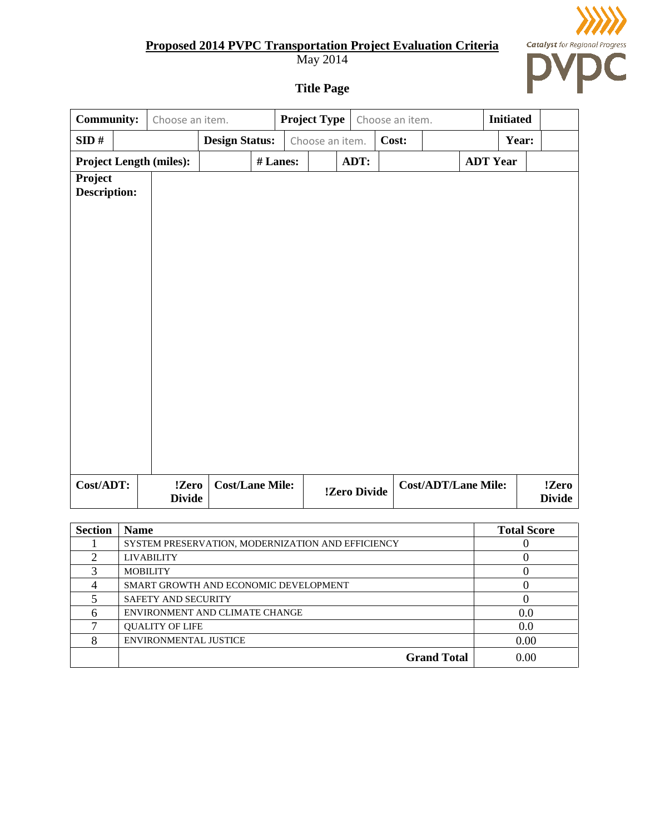May 2014



**Title Page**

| <b>Community:</b>       | Choose an item.                |                        |          | <b>Project Type</b> |              | Choose an item. |                            |                 | <b>Initiated</b>       |  |
|-------------------------|--------------------------------|------------------------|----------|---------------------|--------------|-----------------|----------------------------|-----------------|------------------------|--|
| SID#                    |                                | <b>Design Status:</b>  |          | Choose an item.     |              | Cost:           |                            |                 | Year:                  |  |
|                         | <b>Project Length (miles):</b> |                        | # Lanes: |                     | ADT:         |                 |                            | <b>ADT Year</b> |                        |  |
| Project<br>Description: |                                |                        |          |                     |              |                 |                            |                 |                        |  |
| Cost/ADT:               | !Zero<br><b>Divide</b>         | <b>Cost/Lane Mile:</b> |          |                     | !Zero Divide |                 | <b>Cost/ADT/Lane Mile:</b> |                 | !Zero<br><b>Divide</b> |  |

| <b>Section</b> | <b>Name</b>                                       | <b>Total Score</b> |
|----------------|---------------------------------------------------|--------------------|
|                | SYSTEM PRESERVATION, MODERNIZATION AND EFFICIENCY |                    |
|                | <b>LIVABILITY</b>                                 |                    |
| 3              | <b>MOBILITY</b>                                   |                    |
|                | SMART GROWTH AND ECONOMIC DEVELOPMENT             |                    |
|                | <b>SAFETY AND SECURITY</b>                        |                    |
|                | ENVIRONMENT AND CLIMATE CHANGE                    | 0.0                |
|                | <b>OUALITY OF LIFE</b>                            | 0.0                |
| Ջ              | <b>ENVIRONMENTAL JUSTICE</b>                      | 0.00               |
|                | <b>Grand Total</b>                                | 0.00               |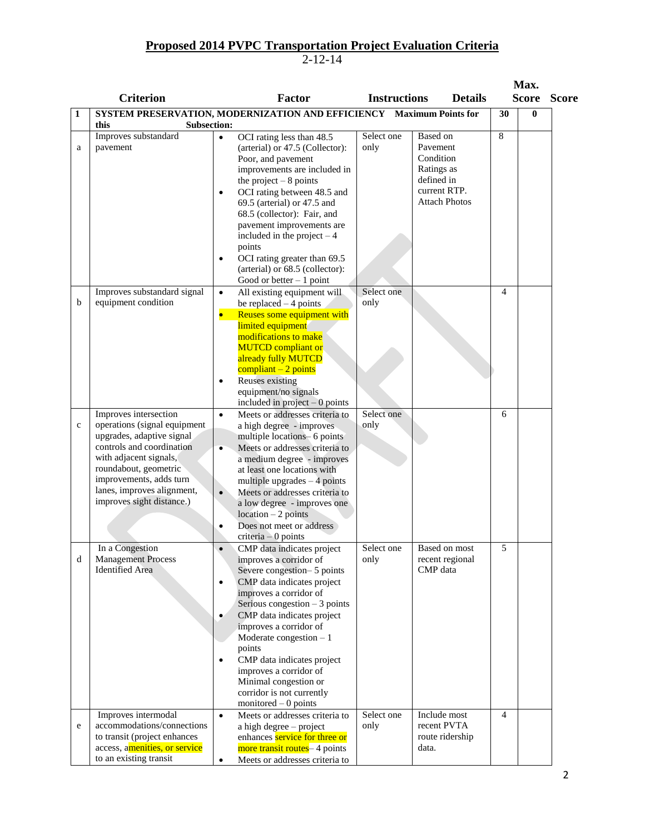|              | <b>Criterion</b>                                                                                                                                                                                                                                         |                                     | <b>Factor</b>                                                                                                                                                                                                                                                                                                                                                                                                     | <b>Instructions</b> |                                                                               | <b>Details</b>                                 |    | Max.<br><b>Score</b> | <b>Score</b> |
|--------------|----------------------------------------------------------------------------------------------------------------------------------------------------------------------------------------------------------------------------------------------------------|-------------------------------------|-------------------------------------------------------------------------------------------------------------------------------------------------------------------------------------------------------------------------------------------------------------------------------------------------------------------------------------------------------------------------------------------------------------------|---------------------|-------------------------------------------------------------------------------|------------------------------------------------|----|----------------------|--------------|
| 1            | this                                                                                                                                                                                                                                                     |                                     | SYSTEM PRESERVATION, MODERNIZATION AND EFFICIENCY Maximum Points for                                                                                                                                                                                                                                                                                                                                              |                     |                                                                               |                                                | 30 | 0                    |              |
| a            | <b>Subsection:</b><br>Improves substandard<br>pavement                                                                                                                                                                                                   | $\bullet$<br>$\bullet$<br>٠         | OCI rating less than 48.5<br>(arterial) or 47.5 (Collector):<br>Poor, and pavement<br>improvements are included in<br>the project $-8$ points<br>OCI rating between 48.5 and<br>69.5 (arterial) or 47.5 and<br>68.5 (collector): Fair, and<br>pavement improvements are<br>included in the project $-4$<br>points<br>OCI rating greater than 69.5<br>(arterial) or 68.5 (collector):<br>Good or better $-1$ point | Select one<br>only  | Based on<br>Pavement<br>Condition<br>Ratings as<br>defined in<br>current RTP. | <b>Attach Photos</b>                           | 8  |                      |              |
| b            | Improves substandard signal<br>equipment condition                                                                                                                                                                                                       | $\bullet$<br>$\bullet$              | All existing equipment will<br>be replaced $-4$ points<br>Reuses some equipment with<br>limited equipment<br>modifications to make<br><b>MUTCD</b> compliant or<br>already fully MUTCD<br>$compliant - 2 points$<br><b>Reuses</b> existing<br>equipment/no signals<br>included in project $-0$ points                                                                                                             | Select one<br>only  |                                                                               |                                                | 4  |                      |              |
| $\mathbf{C}$ | Improves intersection<br>operations (signal equipment<br>upgrades, adaptive signal<br>controls and coordination<br>with adjacent signals,<br>roundabout, geometric<br>improvements, adds turn<br>lanes, improves alignment,<br>improves sight distance.) | $\bullet$<br>$\bullet$<br>$\bullet$ | Meets or addresses criteria to<br>a high degree - improves<br>multiple locations- 6 points<br>Meets or addresses criteria to<br>a medium degree - improves<br>at least one locations with<br>multiple upgrades $-4$ points<br>Meets or addresses criteria to<br>a low degree - improves one<br>$location - 2 points$<br>Does not meet or address<br>$criterion - 0 points$                                        | Select one<br>only  |                                                                               |                                                | 6  |                      |              |
| d            | In a Congestion<br><b>Management Process</b><br><b>Identified Area</b>                                                                                                                                                                                   | $\bullet$<br>$\bullet$<br>$\bullet$ | CMP data indicates project<br>improves a corridor of<br>Severe congestion-5 points<br>CMP data indicates project<br>improves a corridor of<br>Serious congestion $-3$ points<br>CMP data indicates project<br>improves a corridor of<br>Moderate congestion $-1$<br>points<br>CMP data indicates project<br>improves a corridor of<br>Minimal congestion or<br>corridor is not currently<br>monitored $-0$ points | Select one<br>only  | CMP data                                                                      | Based on most<br>recent regional               | 5  |                      |              |
| e            | Improves intermodal<br>accommodations/connections<br>to transit (project enhances<br>access, amenities, or service<br>to an existing transit                                                                                                             | $\bullet$<br>$\bullet$              | Meets or addresses criteria to<br>a high degree - project<br>enhances service for three or<br>more transit routes-4 points<br>Meets or addresses criteria to                                                                                                                                                                                                                                                      | Select one<br>only  | data.                                                                         | Include most<br>recent PVTA<br>route ridership | 4  |                      |              |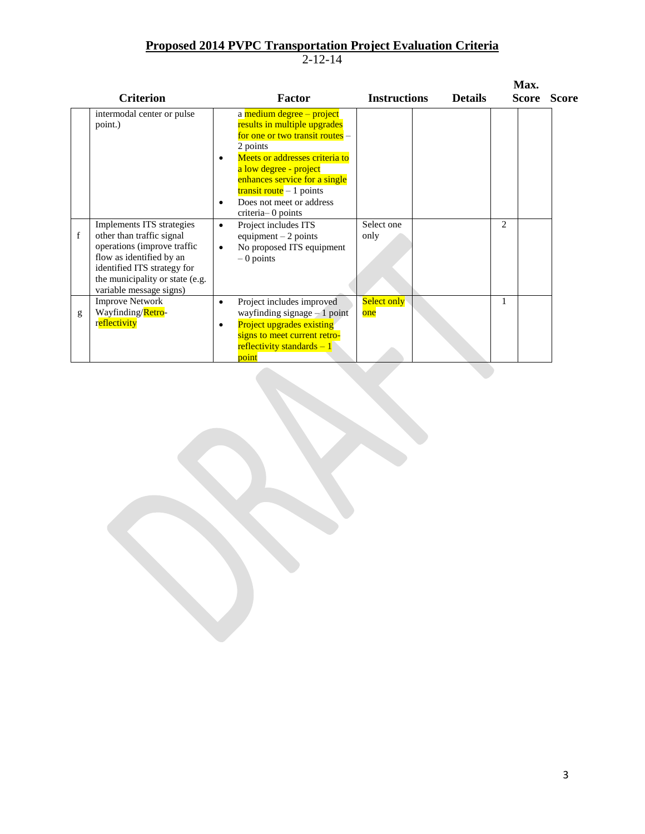|   | <b>Criterion</b>                                                                                                                                     | <b>Factor</b>                                                                                                                                                                                                                                                                                                                                        | <b>Instructions</b>       | <b>Details</b> | Max.<br><b>Score</b> | <b>Score</b> |
|---|------------------------------------------------------------------------------------------------------------------------------------------------------|------------------------------------------------------------------------------------------------------------------------------------------------------------------------------------------------------------------------------------------------------------------------------------------------------------------------------------------------------|---------------------------|----------------|----------------------|--------------|
| f | intermodal center or pulse<br>point.)<br>Implements ITS strategies<br>other than traffic signal                                                      | a medium degree - project<br>results in multiple upgrades<br>for one or two transit routes $-$<br>2 points<br>Meets or addresses criteria to<br>a low degree - project<br>enhances service for a single<br>$transit route - 1 points$<br>Does not meet or address<br>criteria-0 points<br>Project includes ITS<br>$\bullet$<br>equipment $-2$ points | Select one<br>only        |                | 2                    |              |
|   | operations (improve traffic<br>flow as identified by an<br>identified ITS strategy for<br>the municipality or state (e.g.<br>variable message signs) | No proposed ITS equipment<br>$\bullet$<br>$-0$ points                                                                                                                                                                                                                                                                                                |                           |                |                      |              |
| g | <b>Improve Network</b><br>Wayfinding/Retro-<br>reflectivity                                                                                          | Project includes improved<br>٠<br>wayfinding signage $-1$ point<br><b>Project upgrades existing</b><br>$\bullet$<br>signs to meet current retro-<br>reflectivity standards $-1$<br>point                                                                                                                                                             | <b>Select only</b><br>one |                | 1                    |              |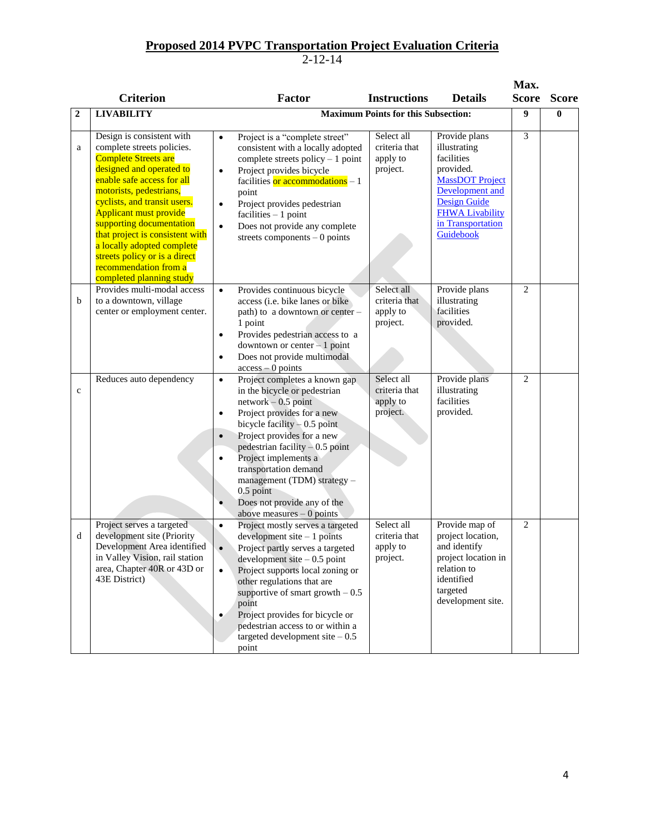|              |                                                                                                                                                                                                                                                                                                                                                                                                     |                                                                                                                                                                                                                                                                                                                                                                                                                                                                                                                                                                                                                                   | Max.           |              |
|--------------|-----------------------------------------------------------------------------------------------------------------------------------------------------------------------------------------------------------------------------------------------------------------------------------------------------------------------------------------------------------------------------------------------------|-----------------------------------------------------------------------------------------------------------------------------------------------------------------------------------------------------------------------------------------------------------------------------------------------------------------------------------------------------------------------------------------------------------------------------------------------------------------------------------------------------------------------------------------------------------------------------------------------------------------------------------|----------------|--------------|
|              | <b>Criterion</b>                                                                                                                                                                                                                                                                                                                                                                                    | Factor<br><b>Instructions</b><br><b>Details</b>                                                                                                                                                                                                                                                                                                                                                                                                                                                                                                                                                                                   | Score          | <b>Score</b> |
| $\mathbf{2}$ | <b>LIVABILITY</b>                                                                                                                                                                                                                                                                                                                                                                                   | <b>Maximum Points for this Subsection:</b>                                                                                                                                                                                                                                                                                                                                                                                                                                                                                                                                                                                        | 9              | $\mathbf{0}$ |
| a            | Design is consistent with<br>complete streets policies.<br><b>Complete Streets are</b><br>designed and operated to<br>enable safe access for all<br>motorists, pedestrians,<br>cyclists, and transit users.<br><b>Applicant must provide</b><br>supporting documentation<br>that project is consistent with<br>a locally adopted complete<br>streets policy or is a direct<br>recommendation from a | Provide plans<br>Select all<br>Project is a "complete street"<br>$\bullet$<br>criteria that<br>illustrating<br>consistent with a locally adopted<br>facilities<br>complete streets policy $-1$ point<br>apply to<br>project.<br>provided.<br>Project provides bicycle<br>$\bullet$<br><b>MassDOT Project</b><br>facilities or accommodations $-1$<br>Development and<br>point<br><b>Design Guide</b><br>Project provides pedestrian<br>$\bullet$<br><b>FHWA Livability</b><br>facilities $-1$ point<br>in Transportation<br>Does not provide any complete<br>$\bullet$<br>Guidebook<br>streets components $-0$ points             | 3              |              |
| b            | completed planning study<br>Provides multi-modal access<br>to a downtown, village<br>center or employment center.                                                                                                                                                                                                                                                                                   | Select all<br>Provide plans<br>Provides continuous bicycle<br>$\bullet$<br>criteria that<br>illustrating<br>access (i.e. bike lanes or bike<br>facilities<br>apply to<br>path) to a downtown or center -<br>provided.<br>project.<br>1 point<br>Provides pedestrian access to a<br>$\bullet$<br>downtown or center $-1$ point<br>Does not provide multimodal<br>$\bullet$<br>$access - 0$ points                                                                                                                                                                                                                                  | $\overline{c}$ |              |
| $\mathbf{c}$ | Reduces auto dependency                                                                                                                                                                                                                                                                                                                                                                             | Select all<br>Provide plans<br>Project completes a known gap<br>$\bullet$<br>criteria that<br>illustrating<br>in the bicycle or pedestrian<br>facilities<br>$network - 0.5$ point<br>apply to<br>provided.<br>project.<br>Project provides for a new<br>$\bullet$<br>bicycle facility $-0.5$ point<br>Project provides for a new<br>$\bullet$<br>pedestrian facility $-0.5$ point<br>Project implements a<br>transportation demand<br>management (TDM) strategy -<br>$0.5$ point<br>Does not provide any of the<br>$\bullet$<br>above measures $-0$ points                                                                        | $\overline{2}$ |              |
| d            | Project serves a targeted<br>development site (Priority<br>Development Area identified<br>in Valley Vision, rail station<br>area, Chapter 40R or 43D or<br>43E District)                                                                                                                                                                                                                            | Select all<br>Provide map of<br>Project mostly serves a targeted<br>$\bullet$<br>project location,<br>criteria that<br>$development site - 1 points$<br>and identify<br>Project partly serves a targeted<br>apply to<br>$\bullet$<br>project location in<br>project.<br>development site $-0.5$ point<br>relation to<br>$\bullet$<br>Project supports local zoning or<br>identified<br>other regulations that are<br>targeted<br>supportive of smart growth $-0.5$<br>development site.<br>point<br>Project provides for bicycle or<br>$\bullet$<br>pedestrian access to or within a<br>targeted development site $-0.5$<br>point | $\overline{c}$ |              |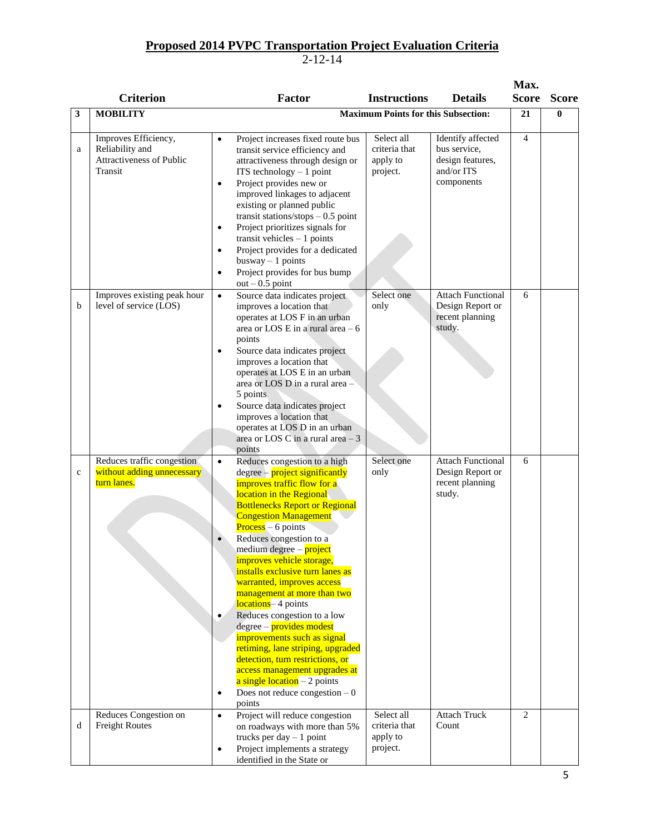|             |                                                                                |                                                                                                                                                                                                                                                                                                                                                                                                                                                                                                                                                                                                                                                                                                                                                                                 |                                                                                                                                          | Max.           |              |
|-------------|--------------------------------------------------------------------------------|---------------------------------------------------------------------------------------------------------------------------------------------------------------------------------------------------------------------------------------------------------------------------------------------------------------------------------------------------------------------------------------------------------------------------------------------------------------------------------------------------------------------------------------------------------------------------------------------------------------------------------------------------------------------------------------------------------------------------------------------------------------------------------|------------------------------------------------------------------------------------------------------------------------------------------|----------------|--------------|
|             | <b>Criterion</b>                                                               | <b>Factor</b>                                                                                                                                                                                                                                                                                                                                                                                                                                                                                                                                                                                                                                                                                                                                                                   | <b>Instructions</b><br><b>Details</b>                                                                                                    | <b>Score</b>   | <b>Score</b> |
| 3           | <b>MOBILITY</b>                                                                |                                                                                                                                                                                                                                                                                                                                                                                                                                                                                                                                                                                                                                                                                                                                                                                 | <b>Maximum Points for this Subsection:</b>                                                                                               | 21             | $\bf{0}$     |
| a           | Improves Efficiency,<br>Reliability and<br>Attractiveness of Public<br>Transit | Project increases fixed route bus<br>$\bullet$<br>transit service efficiency and<br>attractiveness through design or<br>ITS technology $-1$ point<br>Project provides new or<br>$\bullet$<br>improved linkages to adjacent<br>existing or planned public<br>transit stations/stops $-0.5$ point<br>Project prioritizes signals for<br>$\bullet$<br>transit vehicles $-1$ points<br>Project provides for a dedicated<br>$\bullet$<br>$busway - 1 points$<br>Project provides for bus bump<br>$\bullet$<br>$out - 0.5$ point                                                                                                                                                                                                                                                      | Select all<br>Identify affected<br>bus service,<br>criteria that<br>design features,<br>apply to<br>and/or ITS<br>project.<br>components | $\overline{4}$ |              |
| b           | Improves existing peak hour<br>level of service (LOS)                          | Source data indicates project<br>$\bullet$<br>improves a location that<br>operates at LOS F in an urban<br>area or LOS E in a rural area $-6$<br>points<br>Source data indicates project<br>$\bullet$<br>improves a location that<br>operates at LOS E in an urban<br>area or LOS D in a rural area -<br>5 points<br>Source data indicates project<br>$\bullet$<br>improves a location that<br>operates at LOS D in an urban<br>area or LOS C in a rural area $-3$<br>points                                                                                                                                                                                                                                                                                                    | Select one<br><b>Attach Functional</b><br>Design Report or<br>only<br>recent planning<br>study.                                          | 6              |              |
| $\mathbf c$ | Reduces traffic congestion<br>without adding unnecessary<br>turn lanes.        | Reduces congestion to a high<br>$\bullet$<br>$degree - project$ significantly<br><b>improves traffic flow for a</b><br>location in the Regional<br><b>Bottlenecks Report or Regional</b><br><b>Congestion Management</b><br>$Process - 6 points$<br>Reduces congestion to a<br>medium degree – project<br>improves vehicle storage,<br>installs exclusive turn lanes as<br>warranted, improves access<br>management at more than two<br>locations-4 points<br>Reduces congestion to a low<br>۰<br>degree – provides modest<br>improvements such as signal<br>retiming, lane striping, upgraded<br>detection, turn restrictions, or<br>access management upgrades at<br>$a \text{ single location} - 2 \text{ points}$<br>Does not reduce congestion $-0$<br>$\bullet$<br>points | Select one<br><b>Attach Functional</b><br>Design Report or<br>only<br>recent planning<br>study.                                          | 6              |              |
| d           | Reduces Congestion on<br><b>Freight Routes</b>                                 | Project will reduce congestion<br>$\bullet$<br>on roadways with more than 5%<br>trucks per day $-1$ point<br>Project implements a strategy<br>$\bullet$<br>identified in the State or                                                                                                                                                                                                                                                                                                                                                                                                                                                                                                                                                                                           | Select all<br><b>Attach Truck</b><br>Count<br>criteria that<br>apply to<br>project.                                                      | 2              |              |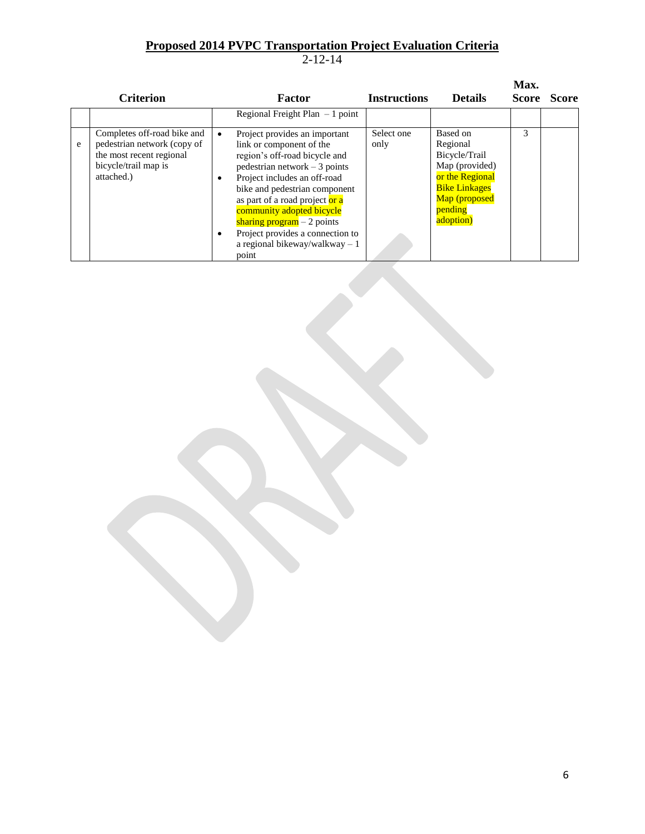|   | <b>Criterion</b>                                                                                                             |                     | Factor                                                                                                                                                                                                                                                                                                                                                                       | <b>Instructions</b> | <b>Details</b>                                                                                                                              | Max.<br><b>Score</b> | <b>Score</b> |
|---|------------------------------------------------------------------------------------------------------------------------------|---------------------|------------------------------------------------------------------------------------------------------------------------------------------------------------------------------------------------------------------------------------------------------------------------------------------------------------------------------------------------------------------------------|---------------------|---------------------------------------------------------------------------------------------------------------------------------------------|----------------------|--------------|
|   |                                                                                                                              |                     | Regional Freight Plan $-1$ point                                                                                                                                                                                                                                                                                                                                             |                     |                                                                                                                                             |                      |              |
| e | Completes off-road bike and<br>pedestrian network (copy of<br>the most recent regional<br>bicycle/trail map is<br>attached.) | $\bullet$<br>٠<br>٠ | Project provides an important<br>link or component of the<br>region's off-road bicycle and<br>$pedestrian network - 3 points$<br>Project includes an off-road<br>bike and pedestrian component<br>as part of a road project or a<br>community adopted bicycle<br>sharing program $-2$ points<br>Project provides a connection to<br>a regional bikeway/walkway $-1$<br>point | Select one<br>only  | Based on<br>Regional<br>Bicycle/Trail<br>Map (provided)<br>or the Regional<br><b>Bike Linkages</b><br>Map (proposed<br>pending<br>adoption) | 3                    |              |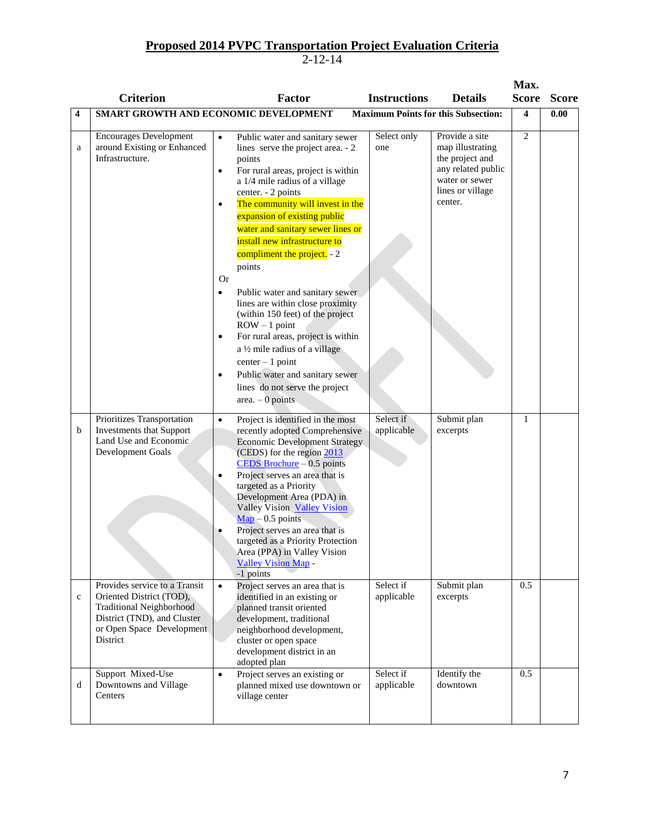|                  |                                                                                                                                                                                                                                                                                                          |                                                                                                                                                                                                                                                                                                                                                                                                                                                                                                                                                                                                                                                                                                                                                                                                 |                                                                 |                                                                                                                              | Max.            |              |
|------------------|----------------------------------------------------------------------------------------------------------------------------------------------------------------------------------------------------------------------------------------------------------------------------------------------------------|-------------------------------------------------------------------------------------------------------------------------------------------------------------------------------------------------------------------------------------------------------------------------------------------------------------------------------------------------------------------------------------------------------------------------------------------------------------------------------------------------------------------------------------------------------------------------------------------------------------------------------------------------------------------------------------------------------------------------------------------------------------------------------------------------|-----------------------------------------------------------------|------------------------------------------------------------------------------------------------------------------------------|-----------------|--------------|
|                  | <b>Criterion</b>                                                                                                                                                                                                                                                                                         | <b>Factor</b>                                                                                                                                                                                                                                                                                                                                                                                                                                                                                                                                                                                                                                                                                                                                                                                   | <b>Instructions</b>                                             | <b>Details</b>                                                                                                               | <b>Score</b>    | <b>Score</b> |
| 4                |                                                                                                                                                                                                                                                                                                          | SMART GROWTH AND ECONOMIC DEVELOPMENT                                                                                                                                                                                                                                                                                                                                                                                                                                                                                                                                                                                                                                                                                                                                                           |                                                                 | <b>Maximum Points for this Subsection:</b>                                                                                   | 4               | 0.00         |
| a                | <b>Encourages Development</b><br>around Existing or Enhanced<br>Infrastructure.                                                                                                                                                                                                                          | Public water and sanitary sewer<br>$\bullet$<br>lines serve the project area. - 2<br>points<br>For rural areas, project is within<br>$\bullet$<br>a 1/4 mile radius of a village<br>center. - 2 points<br>The community will invest in the<br>$\bullet$<br>expansion of existing public<br>water and sanitary sewer lines or<br>install new infrastructure to<br>compliment the project. - 2<br>points<br><b>Or</b><br>Public water and sanitary sewer<br>$\bullet$<br>lines are within close proximity<br>(within 150 feet) of the project<br>$ROW - 1 point$<br>For rural areas, project is within<br>$\bullet$<br>a 1/2 mile radius of a village<br>$center-1 point$<br>Public water and sanitary sewer<br>$\bullet$<br>lines do not serve the project<br>area. $-0$ points                  | Select only<br>one                                              | Provide a site<br>map illustrating<br>the project and<br>any related public<br>water or sewer<br>lines or village<br>center. | $\overline{c}$  |              |
| b<br>$\mathbf c$ | Prioritizes Transportation<br><b>Investments that Support</b><br>Land Use and Economic<br>Development Goals<br>Provides service to a Transit<br>Oriented District (TOD),<br><b>Traditional Neighborhood</b><br>District (TND), and Cluster<br>or Open Space Development<br>District<br>Support Mixed-Use | Project is identified in the most<br>$\bullet$<br>recently adopted Comprehensive<br><b>Economic Development Strategy</b><br>(CEDS) for the region 2013<br>CEDS Brochure $-0.5$ points<br>Project serves an area that is<br>targeted as a Priority<br>Development Area (PDA) in<br>Valley Vision Valley Vision<br>$\underline{\text{Map}} - 0.5$ points<br>Project serves an area that is<br>targeted as a Priority Protection<br>Area (PPA) in Valley Vision<br><b>Valley Vision Map-</b><br>-1 points<br>Project serves an area that is<br>$\bullet$<br>identified in an existing or<br>planned transit oriented<br>development, traditional<br>neighborhood development,<br>cluster or open space<br>development district in an<br>adopted plan<br>Project serves an existing or<br>$\bullet$ | Select if<br>applicable<br>Select if<br>applicable<br>Select if | Submit plan<br>excerpts<br>Submit plan<br>excerpts<br>Identify the                                                           | 1<br>0.5<br>0.5 |              |
| d                | Downtowns and Village<br>Centers                                                                                                                                                                                                                                                                         | planned mixed use downtown or<br>village center                                                                                                                                                                                                                                                                                                                                                                                                                                                                                                                                                                                                                                                                                                                                                 | applicable                                                      | downtown                                                                                                                     |                 |              |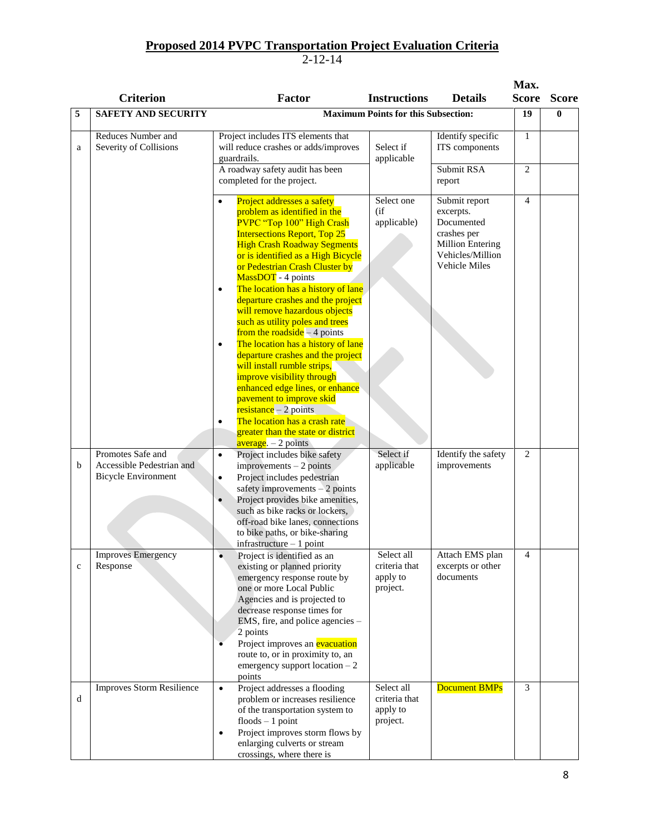|             | <b>Criterion</b>                                                             | Factor                                                                                                                                                                                                                                                                                                                                                                                                                                                                                                                                                                                                                                                                                                                                                                                                                                        | <b>Instructions</b><br><b>Details</b>                                                                                                                                          | Max.<br><b>Score</b>         | <b>Score</b> |
|-------------|------------------------------------------------------------------------------|-----------------------------------------------------------------------------------------------------------------------------------------------------------------------------------------------------------------------------------------------------------------------------------------------------------------------------------------------------------------------------------------------------------------------------------------------------------------------------------------------------------------------------------------------------------------------------------------------------------------------------------------------------------------------------------------------------------------------------------------------------------------------------------------------------------------------------------------------|--------------------------------------------------------------------------------------------------------------------------------------------------------------------------------|------------------------------|--------------|
| 5           | <b>SAFETY AND SECURITY</b>                                                   |                                                                                                                                                                                                                                                                                                                                                                                                                                                                                                                                                                                                                                                                                                                                                                                                                                               | <b>Maximum Points for this Subsection:</b>                                                                                                                                     | 19                           | 0            |
| a           | Reduces Number and<br>Severity of Collisions                                 | Project includes ITS elements that<br>will reduce crashes or adds/improves<br>guardrails.<br>A roadway safety audit has been                                                                                                                                                                                                                                                                                                                                                                                                                                                                                                                                                                                                                                                                                                                  | Identify specific<br>Select if<br>ITS components<br>applicable<br>Submit RSA                                                                                                   | $\mathbf{1}$<br>$\mathbf{2}$ |              |
|             |                                                                              | completed for the project.<br>Project addresses a safety<br>$\bullet$<br>problem as identified in the<br>PVPC "Top 100" High Crash<br><b>Intersections Report, Top 25</b><br><b>High Crash Roadway Segments</b><br>or is identified as a High Bicycle<br>or Pedestrian Crash Cluster by<br>MassDOT - 4 points<br>The location has a history of lane<br>$\bullet$<br>departure crashes and the project<br>will remove hazardous objects<br>such as utility poles and trees<br>from the roadside $-4$ points<br>The location has a history of lane<br>$\bullet$<br>departure crashes and the project<br>will install rumble strips,<br>improve visibility through<br>enhanced edge lines, or enhance<br>pavement to improve skid<br>$resistance - 2 points$<br>The location has a crash rate<br>$\bullet$<br>greater than the state or district | report<br>Select one<br>Submit report<br>(i f)<br>excerpts.<br>applicable)<br>Documented<br>crashes per<br><b>Million Entering</b><br>Vehicles/Million<br><b>Vehicle Miles</b> | $\overline{4}$               |              |
| b           | Promotes Safe and<br>Accessible Pedestrian and<br><b>Bicycle Environment</b> | $average - 2 points$<br>Project includes bike safety<br>$\bullet$<br>$improvements - 2 points$<br>Project includes pedestrian<br>$\bullet$<br>safety improvements $-2$ points<br>Project provides bike amenities,<br>$\bullet$<br>such as bike racks or lockers,<br>off-road bike lanes, connections<br>to bike paths, or bike-sharing<br>$in$ frastructure $-1$ point                                                                                                                                                                                                                                                                                                                                                                                                                                                                        | Select if<br>Identify the safety<br>applicable<br>improvements                                                                                                                 | 2                            |              |
| $\mathbf c$ | <b>Improves Emergency</b><br>Response                                        | Project is identified as an<br>$\bullet$<br>existing or planned priority<br>emergency response route by<br>one or more Local Public<br>Agencies and is projected to<br>decrease response times for<br>EMS, fire, and police agencies -<br>2 points<br>Project improves an evacuation<br>route to, or in proximity to, an<br>emergency support location $-2$<br>points                                                                                                                                                                                                                                                                                                                                                                                                                                                                         | Select all<br>Attach EMS plan<br>excerpts or other<br>criteria that<br>documents<br>apply to<br>project.                                                                       | $\overline{4}$               |              |
| d           | <b>Improves Storm Resilience</b>                                             | Project addresses a flooding<br>$\bullet$<br>problem or increases resilience<br>of the transportation system to<br>$floods - 1$ point<br>Project improves storm flows by<br>$\bullet$<br>enlarging culverts or stream<br>crossings, where there is                                                                                                                                                                                                                                                                                                                                                                                                                                                                                                                                                                                            | Select all<br><b>Document BMPs</b><br>criteria that<br>apply to<br>project.                                                                                                    | 3                            |              |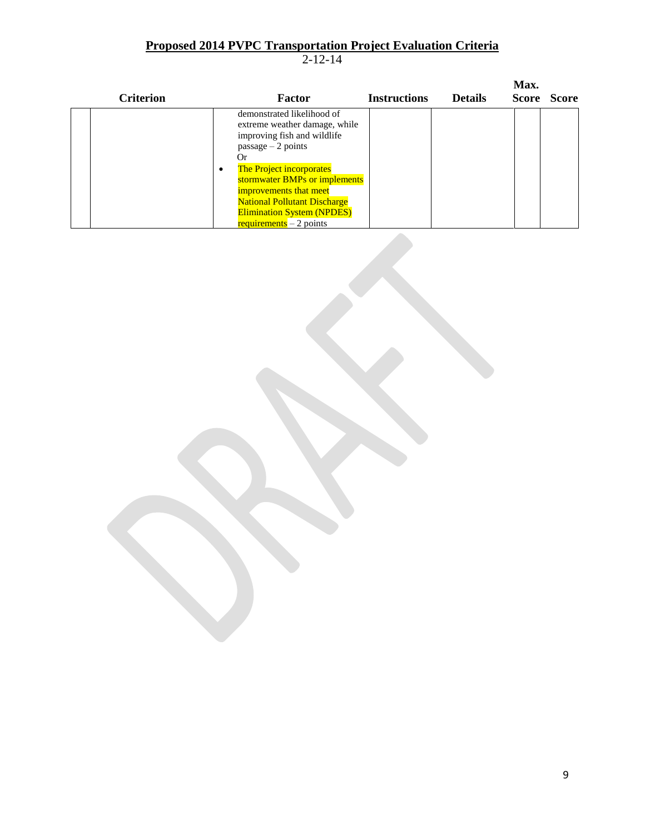| <b>Criterion</b> |           | Factor                                                                                                                                                                                                                                                                                                                                      | <b>Instructions</b> | <b>Details</b> | Max.<br><b>Score</b> | <b>Score</b> |
|------------------|-----------|---------------------------------------------------------------------------------------------------------------------------------------------------------------------------------------------------------------------------------------------------------------------------------------------------------------------------------------------|---------------------|----------------|----------------------|--------------|
|                  | $\bullet$ | demonstrated likelihood of<br>extreme weather damage, while<br>improving fish and wildlife<br>$passage - 2 points$<br>( )r<br><b>The Project incorporates</b><br>stormwater BMPs or implements<br>improvements that meet<br><b>National Pollutant Discharge</b><br><b>Elimination System (NPDES)</b><br>$\frac{requirements}{r} - 2 points$ |                     |                |                      |              |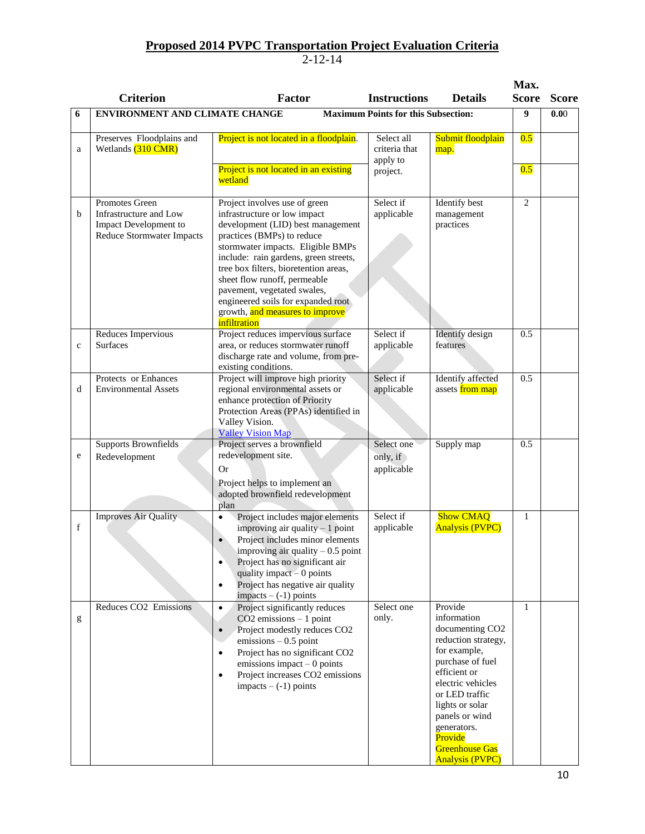|              | <b>Criterion</b>                                                                                      | <b>Factor</b>                                                                                                                                                                                                                                                                                                                                                                                                   | <b>Instructions</b>                                 | <b>Details</b>                                                                                                                                                                                                                                                                            | Max.<br><b>Score</b> | <b>Score</b> |
|--------------|-------------------------------------------------------------------------------------------------------|-----------------------------------------------------------------------------------------------------------------------------------------------------------------------------------------------------------------------------------------------------------------------------------------------------------------------------------------------------------------------------------------------------------------|-----------------------------------------------------|-------------------------------------------------------------------------------------------------------------------------------------------------------------------------------------------------------------------------------------------------------------------------------------------|----------------------|--------------|
| 6            | <b>Maximum Points for this Subsection:</b><br><b>ENVIRONMENT AND CLIMATE CHANGE</b>                   |                                                                                                                                                                                                                                                                                                                                                                                                                 |                                                     |                                                                                                                                                                                                                                                                                           | 9                    | 0.00         |
| a            | Preserves Floodplains and<br>Wetlands (310 CMR)                                                       | Project is not located in a floodplain.<br>Project is not located in an existing<br>wetland                                                                                                                                                                                                                                                                                                                     | Select all<br>criteria that<br>apply to<br>project. | Submit floodplain<br>map.                                                                                                                                                                                                                                                                 | 0.5<br>0.5           |              |
| b            | Promotes Green<br>Infrastructure and Low<br>Impact Development to<br><b>Reduce Stormwater Impacts</b> | Project involves use of green<br>infrastructure or low impact<br>development (LID) best management<br>practices (BMPs) to reduce<br>stormwater impacts. Eligible BMPs<br>include: rain gardens, green streets,<br>tree box filters, bioretention areas,<br>sheet flow runoff, permeable<br>pavement, vegetated swales,<br>engineered soils for expanded root<br>growth, and measures to improve<br>infiltration | Select if<br>applicable                             | Identify best<br>management<br>practices                                                                                                                                                                                                                                                  | $\overline{c}$       |              |
| $\mathbf{C}$ | Reduces Impervious<br><b>Surfaces</b>                                                                 | Project reduces impervious surface<br>area, or reduces stormwater runoff<br>discharge rate and volume, from pre-<br>existing conditions.                                                                                                                                                                                                                                                                        | Select if<br>applicable                             | <b>Identify</b> design<br>features                                                                                                                                                                                                                                                        | 0.5                  |              |
| d            | Protects or Enhances<br><b>Environmental Assets</b>                                                   | Project will improve high priority<br>regional environmental assets or<br>enhance protection of Priority<br>Protection Areas (PPAs) identified in<br>Valley Vision.<br><b>Valley Vision Map</b>                                                                                                                                                                                                                 | Select if<br>applicable                             | <b>Identify</b> affected<br>assets from map                                                                                                                                                                                                                                               | 0.5                  |              |
| e            | <b>Supports Brownfields</b><br>Redevelopment                                                          | Project serves a brownfield<br>redevelopment site.<br><b>Or</b><br>Project helps to implement an<br>adopted brownfield redevelopment<br>plan                                                                                                                                                                                                                                                                    | Select one<br>only, if<br>applicable                | Supply map                                                                                                                                                                                                                                                                                | 0.5                  |              |
| f            | <b>Improves Air Quality</b>                                                                           | Project includes major elements<br>improving air quality $-1$ point<br>Project includes minor elements<br>$\bullet$<br>improving air quality $-0.5$ point<br>Project has no significant air<br>$\bullet$<br>quality impact $-0$ points<br>Project has negative air quality<br>$\bullet$<br>$impacts - (-1) points$                                                                                              | Select if<br>applicable                             | <b>Show CMAQ</b><br><b>Analysis (PVPC)</b>                                                                                                                                                                                                                                                | 1                    |              |
| g            | Reduces CO2 Emissions                                                                                 | Project significantly reduces<br>$\bullet$<br>$CO2$ emissions $-1$ point<br>Project modestly reduces CO2<br>$\bullet$<br>$emissions - 0.5$ point<br>Project has no significant CO2<br>$\bullet$<br>emissions impact $-0$ points<br>Project increases CO2 emissions<br>$\bullet$<br>$impacts - (-1) points$                                                                                                      | Select one<br>only.                                 | Provide<br>information<br>documenting CO <sub>2</sub><br>reduction strategy,<br>for example,<br>purchase of fuel<br>efficient or<br>electric vehicles<br>or LED traffic<br>lights or solar<br>panels or wind<br>generators.<br>Provide<br><b>Greenhouse Gas</b><br><b>Analysis (PVPC)</b> | $\mathbf{1}$         |              |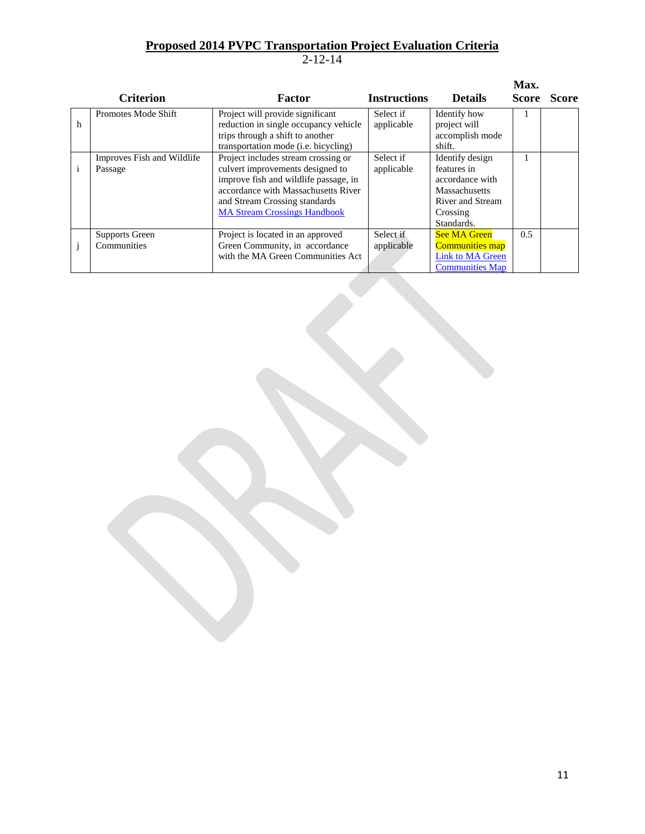|              | <b>Criterion</b>                      | <b>Factor</b>                                                                                                                                                                                                                   | <b>Instructions</b>     | <b>Details</b>                                                                                                          | Max.<br><b>Score</b> | <b>Score</b> |
|--------------|---------------------------------------|---------------------------------------------------------------------------------------------------------------------------------------------------------------------------------------------------------------------------------|-------------------------|-------------------------------------------------------------------------------------------------------------------------|----------------------|--------------|
| h            | Promotes Mode Shift                   | Project will provide significant<br>reduction in single occupancy vehicle<br>trips through a shift to another<br>transportation mode (i.e. bicycling)                                                                           | Select if<br>applicable | Identify how<br>project will<br>accomplish mode<br>shift.                                                               |                      |              |
| $\mathbf{i}$ | Improves Fish and Wildlife<br>Passage | Project includes stream crossing or<br>culvert improvements designed to<br>improve fish and wildlife passage, in<br>accordance with Massachusetts River<br>and Stream Crossing standards<br><b>MA Stream Crossings Handbook</b> | Select if<br>applicable | Identify design<br>features in<br>accordance with<br><b>Massachusetts</b><br>River and Stream<br>Crossing<br>Standards. |                      |              |
|              | Supports Green<br>Communities         | Project is located in an approved<br>Green Community, in accordance<br>with the MA Green Communities Act                                                                                                                        | Select if<br>applicable | <b>See MA Green</b><br><b>Communities map</b><br><b>Link to MA Green</b><br><b>Communities Map</b>                      | 0.5                  |              |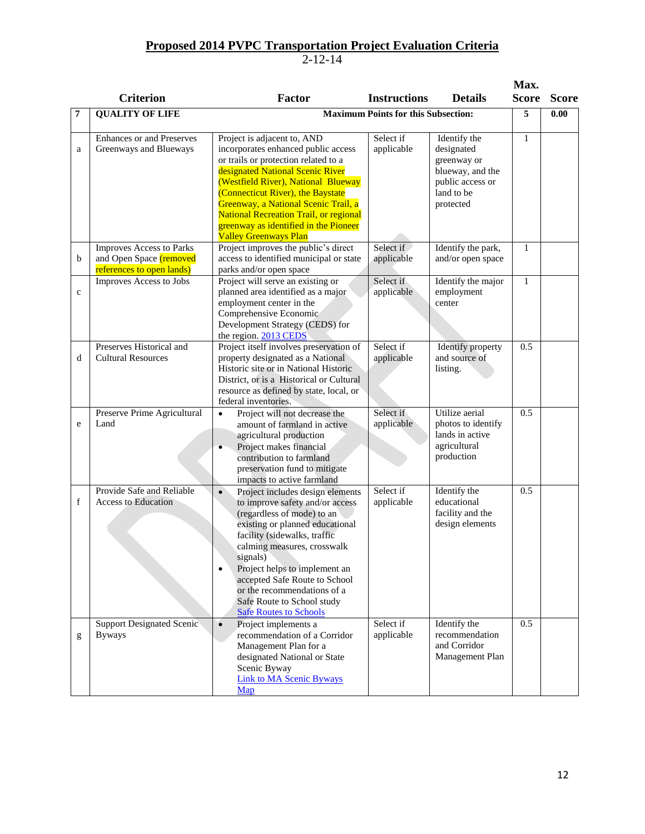|              |                                                                                  |                                                                                                                                                                                                                                                                                                                                                                                                           |                                            |                                                                                                              | Max.         |              |
|--------------|----------------------------------------------------------------------------------|-----------------------------------------------------------------------------------------------------------------------------------------------------------------------------------------------------------------------------------------------------------------------------------------------------------------------------------------------------------------------------------------------------------|--------------------------------------------|--------------------------------------------------------------------------------------------------------------|--------------|--------------|
|              | <b>Criterion</b>                                                                 | Factor                                                                                                                                                                                                                                                                                                                                                                                                    | <b>Instructions</b>                        | <b>Details</b>                                                                                               | <b>Score</b> | <b>Score</b> |
| 7            | <b>QUALITY OF LIFE</b>                                                           |                                                                                                                                                                                                                                                                                                                                                                                                           | <b>Maximum Points for this Subsection:</b> |                                                                                                              | 5            | 0.00         |
| a            | Enhances or and Preserves<br>Greenways and Blueways                              | Project is adjacent to, AND<br>incorporates enhanced public access<br>or trails or protection related to a<br>designated National Scenic River<br>(Westfield River), National Blueway<br>(Connecticut River), the Baystate<br>Greenway, a National Scenic Trail, a<br><b>National Recreation Trail, or regional</b><br>greenway as identified in the Pioneer<br><b>Valley Greenways Plan</b>              | Select if<br>applicable                    | Identify the<br>designated<br>greenway or<br>blueway, and the<br>public access or<br>land to be<br>protected | $\mathbf{1}$ |              |
| b            | Improves Access to Parks<br>and Open Space (removed<br>references to open lands) | Project improves the public's direct<br>access to identified municipal or state<br>parks and/or open space                                                                                                                                                                                                                                                                                                | Select if<br>applicable                    | Identify the park,<br>and/or open space                                                                      | $\mathbf{1}$ |              |
| $\mathbf{c}$ | Improves Access to Jobs                                                          | Project will serve an existing or<br>planned area identified as a major<br>employment center in the<br>Comprehensive Economic<br>Development Strategy (CEDS) for<br>the region. 2013 CEDS                                                                                                                                                                                                                 | Select if<br>applicable                    | Identify the major<br>employment<br>center                                                                   | $\mathbf{1}$ |              |
| d            | Preserves Historical and<br><b>Cultural Resources</b>                            | Project itself involves preservation of<br>property designated as a National<br>Historic site or in National Historic<br>District, or is a Historical or Cultural<br>resource as defined by state, local, or<br>federal inventories.                                                                                                                                                                      | Select if<br>applicable                    | Identify property<br>and source of<br>listing.                                                               | 0.5          |              |
| e            | Preserve Prime Agricultural<br>Land                                              | Project will not decrease the<br>$\bullet$<br>amount of farmland in active<br>agricultural production<br>Project makes financial<br>$\bullet$<br>contribution to farmland<br>preservation fund to mitigate<br>impacts to active farmland                                                                                                                                                                  | Select if<br>applicable                    | Utilize aerial<br>photos to identify<br>lands in active<br>agricultural<br>production                        | 0.5          |              |
| f            | Provide Safe and Reliable<br><b>Access to Education</b>                          | Project includes design elements<br>$\bullet$<br>to improve safety and/or access<br>(regardless of mode) to an<br>existing or planned educational<br>facility (sidewalks, traffic<br>calming measures, crosswalk<br>signals)<br>Project helps to implement an<br>$\bullet$<br>accepted Safe Route to School<br>or the recommendations of a<br>Safe Route to School study<br><b>Safe Routes to Schools</b> | Select if<br>applicable                    | Identify the<br>educational<br>facility and the<br>design elements                                           | 0.5          |              |
| g            | <b>Support Designated Scenic</b><br><b>Byways</b>                                | $\bullet$<br>Project implements a<br>recommendation of a Corridor<br>Management Plan for a<br>designated National or State<br>Scenic Byway<br><b>Link to MA Scenic Byways</b><br>Map                                                                                                                                                                                                                      | Select if<br>applicable                    | Identify the<br>recommendation<br>and Corridor<br>Management Plan                                            | 0.5          |              |